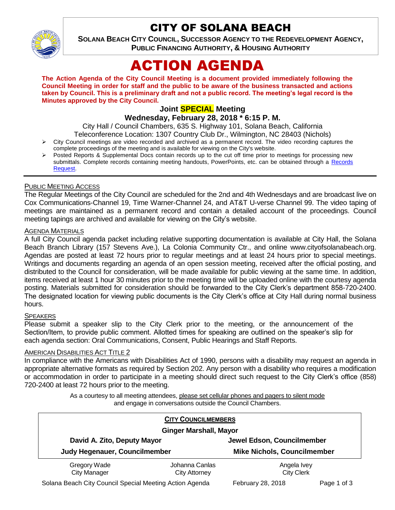

# CITY OF SOLANA BEACH

**SOLANA BEACH CITY COUNCIL, SUCCESSOR AGENCY TO THE REDEVELOPMENT AGENCY, PUBLIC FINANCING AUTHORITY, & HOUSING AUTHORITY** 

# ACTION AGENDA

**The Action Agenda of the City Council Meeting is a document provided immediately following the Council Meeting in order for staff and the public to be aware of the business transacted and actions taken by Council. This is a preliminary draft and not a public record. The meeting's legal record is the Minutes approved by the City Council.**

# **Joint SPECIAL Meeting**

**Wednesday, February 28, 2018 \* 6:15 P. M.**

City Hall / Council Chambers, 635 S. Highway 101, Solana Beach, California

Teleconference Location: 1307 Country Club Dr., Wilmington, NC 28403 (Nichols)

- $\triangleright$  City Council meetings are video recorded and archived as a permanent record. The video recording captures the complete proceedings of the meeting and is available for viewing on the City's website.
- Posted Reports & Supplemental Docs contain records up to the cut off time prior to meetings for processing new submittals. Complete records containing meeting handouts, PowerPoints, etc. can be obtained through a Records [Request.](http://www.ci.solana-beach.ca.us/index.asp?SEC=F5D45D10-70CE-4291-A27C-7BD633FC6742&Type=B_BASIC)

# PUBLIC MEETING ACCESS

The Regular Meetings of the City Council are scheduled for the 2nd and 4th Wednesdays and are broadcast live on Cox Communications-Channel 19, Time Warner-Channel 24, and AT&T U-verse Channel 99. The video taping of meetings are maintained as a permanent record and contain a detailed account of the proceedings. Council meeting tapings are archived and available for viewing on the City's website.

### **AGENDA MATERIALS**

A full City Council agenda packet including relative supporting documentation is available at City Hall, the Solana Beach Branch Library (157 Stevens Ave.), La Colonia Community Ctr., and online www.cityofsolanabeach.org. Agendas are posted at least 72 hours prior to regular meetings and at least 24 hours prior to special meetings. Writings and documents regarding an agenda of an open session meeting, received after the official posting, and distributed to the Council for consideration, will be made available for public viewing at the same time. In addition, items received at least 1 hour 30 minutes prior to the meeting time will be uploaded online with the courtesy agenda posting. Materials submitted for consideration should be forwarded to the City Clerk's department 858-720-2400. The designated location for viewing public documents is the City Clerk's office at City Hall during normal business hours.

# **SPEAKERS**

Please submit a speaker slip to the City Clerk prior to the meeting, or the announcement of the Section/Item, to provide public comment. Allotted times for speaking are outlined on the speaker's slip for each agenda section: Oral Communications, Consent, Public Hearings and Staff Reports.

### AMERICAN DISABILITIES ACT TITLE 2

In compliance with the Americans with Disabilities Act of 1990, persons with a disability may request an agenda in appropriate alternative formats as required by Section 202. Any person with a disability who requires a modification or accommodation in order to participate in a meeting should direct such request to the City Clerk's office (858) 720-2400 at least 72 hours prior to the meeting.

> As a courtesy to all meeting attendees, please set cellular phones and pagers to silent mode and engage in conversations outside the Council Chambers.

| <b>CITY COUNCILMEMBERS</b><br><b>Ginger Marshall, Mayor</b> |                                 |                                  |             |
|-------------------------------------------------------------|---------------------------------|----------------------------------|-------------|
|                                                             |                                 |                                  |             |
| Gregory Wade<br><b>City Manager</b>                         | Johanna Canlas<br>City Attorney | Angela Ivey<br><b>City Clerk</b> |             |
| Solana Beach City Council Special Meeting Action Agenda     |                                 | <b>February 28, 2018</b>         | Page 1 of 3 |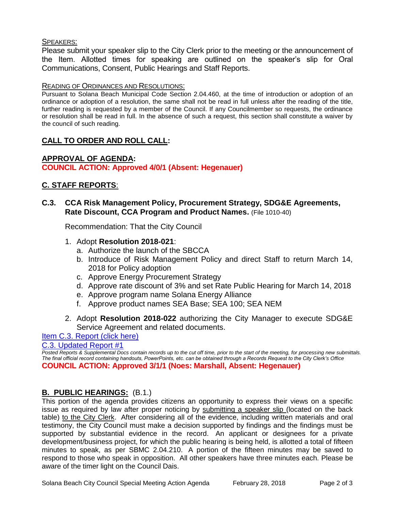# SPEAKERS:

Please submit your speaker slip to the City Clerk prior to the meeting or the announcement of the Item. Allotted times for speaking are outlined on the speaker's slip for Oral Communications, Consent, Public Hearings and Staff Reports.

# READING OF ORDINANCES AND RESOLUTIONS:

Pursuant to Solana Beach Municipal Code Section 2.04.460, at the time of introduction or adoption of an ordinance or adoption of a resolution, the same shall not be read in full unless after the reading of the title, further reading is requested by a member of the Council. If any Councilmember so requests, the ordinance or resolution shall be read in full. In the absence of such a request, this section shall constitute a waiver by the council of such reading.

# **CALL TO ORDER AND ROLL CALL:**

### **APPROVAL OF AGENDA: COUNCIL ACTION: Approved 4/0/1 (Absent: Hegenauer)**

# **C. STAFF REPORTS**:

# **C.3. CCA Risk Management Policy, Procurement Strategy, SDG&E Agreements, Rate Discount, CCA Program and Product Names.** (File 1010-40)

Recommendation: That the City Council

- 1. Adopt **Resolution 2018-021**:
	- a. Authorize the launch of the SBCCA
	- b. Introduce of Risk Management Policy and direct Staff to return March 14, 2018 for Policy adoption
	- c. Approve Energy Procurement Strategy
	- d. Approve rate discount of 3% and set Rate Public Hearing for March 14, 2018
	- e. Approve program name Solana Energy Alliance
	- f. Approve product names SEA Base; SEA 100; SEA NEM
- 2. Adopt **Resolution 2018-022** authorizing the City Manager to execute SDG&E Service Agreement and related documents.

[Item C.3. Report \(click here\)](https://solanabeach.govoffice3.com/vertical/Sites/%7B840804C2-F869-4904-9AE3-720581350CE7%7D/uploads/Item_C.3._Report_(click_here)_-_02-08-18.PDF)

[C.3. Updated Report #1](https://solanabeach.govoffice3.com/vertical/Sites/%7B840804C2-F869-4904-9AE3-720581350CE7%7D/uploads/C.3._Updated_Report_1_-_02-28-18.pdf)

*Posted Reports & Supplemental Docs contain records up to the cut off time, prior to the start of the meeting, for processing new submittals. The final official record containing handouts, PowerPoints, etc. can be obtained through a Records Request to the City Clerk's Office* **COUNCIL ACTION: Approved 3/1/1 (Noes: Marshall, Absent: Hegenauer)**

# **B. PUBLIC HEARINGS:** (B.1.)

This portion of the agenda provides citizens an opportunity to express their views on a specific issue as required by law after proper noticing by submitting a speaker slip (located on the back table) to the City Clerk. After considering all of the evidence, including written materials and oral testimony, the City Council must make a decision supported by findings and the findings must be supported by substantial evidence in the record. An applicant or designees for a private development/business project, for which the public hearing is being held, is allotted a total of fifteen minutes to speak, as per SBMC 2.04.210. A portion of the fifteen minutes may be saved to respond to those who speak in opposition. All other speakers have three minutes each. Please be aware of the timer light on the Council Dais.